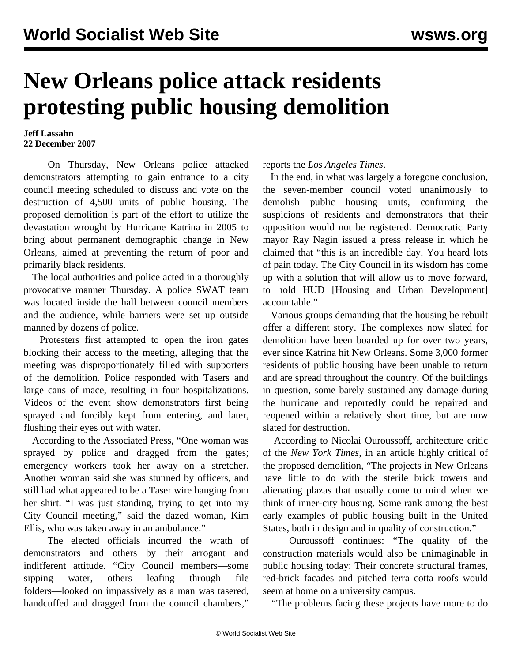## **New Orleans police attack residents protesting public housing demolition**

## **Jeff Lassahn 22 December 2007**

 On Thursday, New Orleans police attacked demonstrators attempting to gain entrance to a city council meeting scheduled to discuss and vote on the destruction of 4,500 units of public housing. The proposed demolition is part of the effort to utilize the devastation wrought by Hurricane Katrina in 2005 to bring about permanent demographic change in New Orleans, aimed at preventing the return of poor and primarily black residents.

 The local authorities and police acted in a thoroughly provocative manner Thursday. A police SWAT team was located inside the hall between council members and the audience, while barriers were set up outside manned by dozens of police.

 Protesters first attempted to open the iron gates blocking their access to the meeting, alleging that the meeting was disproportionately filled with supporters of the demolition. Police responded with Tasers and large cans of mace, resulting in four hospitalizations. Videos of the event show demonstrators first being sprayed and forcibly kept from entering, and later, flushing their eyes out with water.

 According to the Associated Press, "One woman was sprayed by police and dragged from the gates; emergency workers took her away on a stretcher. Another woman said she was stunned by officers, and still had what appeared to be a Taser wire hanging from her shirt. "I was just standing, trying to get into my City Council meeting," said the dazed woman, Kim Ellis, who was taken away in an ambulance."

 The elected officials incurred the wrath of demonstrators and others by their arrogant and indifferent attitude. "City Council members—some sipping water, others leafing through file folders—looked on impassively as a man was tasered, handcuffed and dragged from the council chambers,"

reports the *Los Angeles Times*.

 In the end, in what was largely a foregone conclusion, the seven-member council voted unanimously to demolish public housing units, confirming the suspicions of residents and demonstrators that their opposition would not be registered. Democratic Party mayor Ray Nagin issued a press release in which he claimed that "this is an incredible day. You heard lots of pain today. The City Council in its wisdom has come up with a solution that will allow us to move forward, to hold HUD [Housing and Urban Development] accountable."

 Various groups demanding that the housing be rebuilt offer a different story. The complexes now slated for demolition have been boarded up for over two years, ever since Katrina hit New Orleans. Some 3,000 former residents of public housing have been unable to return and are spread throughout the country. Of the buildings in question, some barely sustained any damage during the hurricane and reportedly could be repaired and reopened within a relatively short time, but are now slated for destruction.

 According to Nicolai Ouroussoff, architecture critic of the *New York Times*, in an article highly critical of the proposed demolition*,* "The projects in New Orleans have little to do with the sterile brick towers and alienating plazas that usually come to mind when we think of inner-city housing. Some rank among the best early examples of public housing built in the United States, both in design and in quality of construction."

 Ouroussoff continues: "The quality of the construction materials would also be unimaginable in public housing today: Their concrete structural frames, red-brick facades and pitched terra cotta roofs would seem at home on a university campus.

"The problems facing these projects have more to do